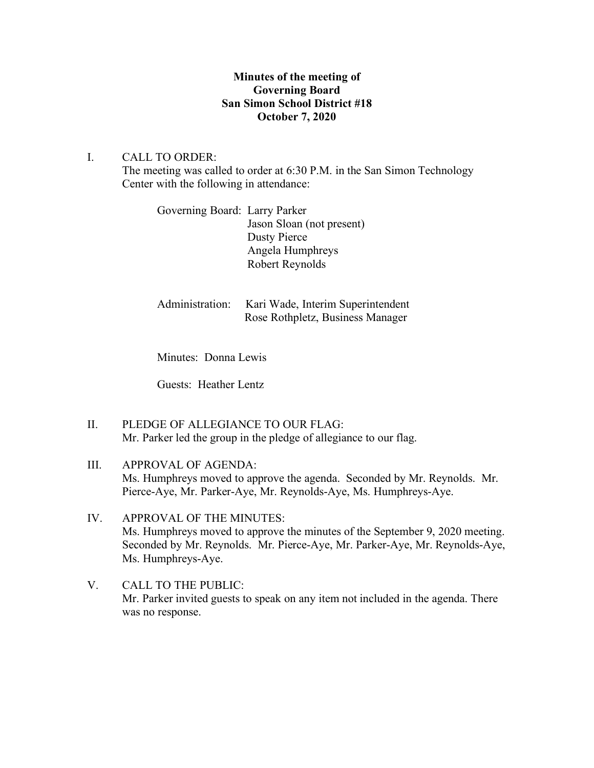## **Minutes of the meeting of Governing Board San Simon School District #18 October 7, 2020**

# I. CALL TO ORDER: The meeting was called to order at 6:30 P.M. in the San Simon Technology Center with the following in attendance:

Governing Board: Larry Parker Jason Sloan (not present) Dusty Pierce Angela Humphreys Robert Reynolds

Administration: Kari Wade, Interim Superintendent Rose Rothpletz, Business Manager

Minutes: Donna Lewis

Guests: Heather Lentz

- II. PLEDGE OF ALLEGIANCE TO OUR FLAG: Mr. Parker led the group in the pledge of allegiance to our flag.
- III. APPROVAL OF AGENDA: Ms. Humphreys moved to approve the agenda. Seconded by Mr. Reynolds. Mr. Pierce-Aye, Mr. Parker-Aye, Mr. Reynolds-Aye, Ms. Humphreys-Aye.
- IV. APPROVAL OF THE MINUTES: Ms. Humphreys moved to approve the minutes of the September 9, 2020 meeting. Seconded by Mr. Reynolds. Mr. Pierce-Aye, Mr. Parker-Aye, Mr. Reynolds-Aye, Ms. Humphreys-Aye.
- V. CALL TO THE PUBLIC: Mr. Parker invited guests to speak on any item not included in the agenda. There was no response.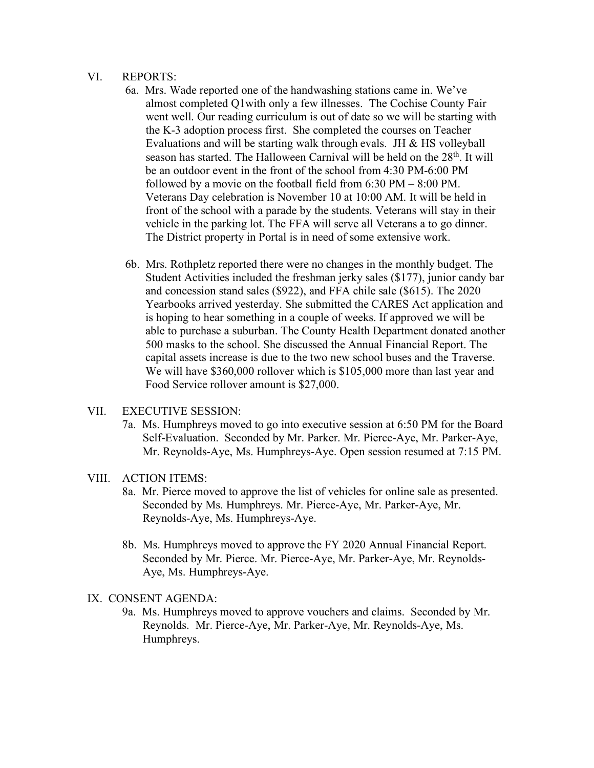#### VI. REPORTS:

- 6a. Mrs. Wade reported one of the handwashing stations came in. We've almost completed Q1with only a few illnesses. The Cochise County Fair went well. Our reading curriculum is out of date so we will be starting with the K-3 adoption process first. She completed the courses on Teacher Evaluations and will be starting walk through evals. JH & HS volleyball season has started. The Halloween Carnival will be held on the  $28<sup>th</sup>$ . It will be an outdoor event in the front of the school from 4:30 PM-6:00 PM followed by a movie on the football field from 6:30 PM – 8:00 PM. Veterans Day celebration is November 10 at 10:00 AM. It will be held in front of the school with a parade by the students. Veterans will stay in their vehicle in the parking lot. The FFA will serve all Veterans a to go dinner. The District property in Portal is in need of some extensive work.
- 6b. Mrs. Rothpletz reported there were no changes in the monthly budget. The Student Activities included the freshman jerky sales (\$177), junior candy bar and concession stand sales (\$922), and FFA chile sale (\$615). The 2020 Yearbooks arrived yesterday. She submitted the CARES Act application and is hoping to hear something in a couple of weeks. If approved we will be able to purchase a suburban. The County Health Department donated another 500 masks to the school. She discussed the Annual Financial Report. The capital assets increase is due to the two new school buses and the Traverse. We will have \$360,000 rollover which is \$105,000 more than last year and Food Service rollover amount is \$27,000.

### VII. EXECUTIVE SESSION:

7a. Ms. Humphreys moved to go into executive session at 6:50 PM for the Board Self-Evaluation. Seconded by Mr. Parker. Mr. Pierce-Aye, Mr. Parker-Aye, Mr. Reynolds-Aye, Ms. Humphreys-Aye. Open session resumed at 7:15 PM.

### VIII. ACTION ITEMS:

- 8a. Mr. Pierce moved to approve the list of vehicles for online sale as presented. Seconded by Ms. Humphreys. Mr. Pierce-Aye, Mr. Parker-Aye, Mr. Reynolds-Aye, Ms. Humphreys-Aye.
- 8b. Ms. Humphreys moved to approve the FY 2020 Annual Financial Report. Seconded by Mr. Pierce. Mr. Pierce-Aye, Mr. Parker-Aye, Mr. Reynolds- Aye, Ms. Humphreys-Aye.

## IX. CONSENT AGENDA:

9a. Ms. Humphreys moved to approve vouchers and claims. Seconded by Mr. Reynolds. Mr. Pierce-Aye, Mr. Parker-Aye, Mr. Reynolds-Aye, Ms. Humphreys.